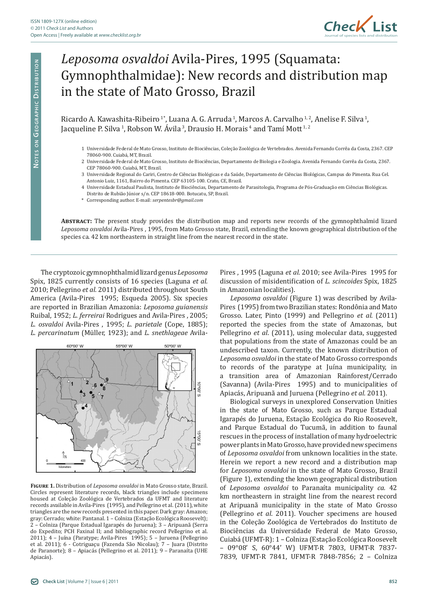

## *Leposoma osvaldoi* Avila-Pires, 1995 (Squamata: Gymnophthalmidae): New records and distribution map in the state of Mato Grosso, Brazil

Ricardo A. Kawashita-Ribeiro<sup>1\*</sup>, Luana A. G. Arruda<sup>1</sup>, Marcos A. Carvalho<sup>1,2</sup>, Anelise F. Silva<sup>1</sup>, Jacqueline P. Silva<sup>1</sup>, Robson W. Ávila<sup>3</sup>, Drausio H. Morais<sup>4</sup> and Tamí Mott<sup>1,2</sup>

- 1 Universidade Federal de Mato Grosso, Instituto de Biociências, Coleção Zoológica de Vertebrados. Avenida Fernando Corrêa da Costa, 2367. CEP 78060-900. Cuiabá, MT, Brazil.
- 2 Universidade Federal de Mato Grosso, Instituto de Biociências, Departamento de Biologia e Zoologia. Avenida Fernando Corrêa da Costa, 2367. CEP 78060-900. Cuiabá, MT, Brazil.
- 3 Universidade Regional do Cariri, Centro de Ciências Biológicas e da Saúde, Departamento de Ciências Biológicas, Campus do Pimenta. Rua Cel. Antonio Luiz, 1161, Bairro do Pimenta. CEP 63105-100. Crato, CE, Brazil.
- 4 Universidade Estadual Paulista, Instituto de Biociências, Departamento de Parasitologia, Programa de Pós-Graduação em Ciências Biológicas.
- Distrito de Rubião Júnior s/n. CEP 18618-000. Botucatu, SP, Brazil.
- \* Corresponding author. E-mail: *serpentesbr@gmail.com*

**Abstract:** The present study provides the distribution map and reports new records of the gymnophthalmid lizard *Leposoma osvaldoi* Avila-Pires , 1995, from Mato Grosso state, Brazil, extending the known geographical distribution of the species ca. 42 km northeastern in straight line from the nearest record in the state.

The cryptozoic gymnophthalmid lizard genus *Leposoma*  Spix, 1825 currently consists of 16 species (Laguna *et al.* 2010; Pellegrino *et al.* 2011) distributed throughout South America (Avila-Pires 1995; Esqueda 2005). Six species are reported in Brazilian Amazonia: *Leposoma guianensis*  Ruibal, 1952; *L. ferreirai* Rodrigues and Avila-Pires , 2005; *L. osvaldoi* Avila-Pires , 1995; *L. parietale* (Cope, 1885); *L. percarinatum* (Müller, 1923); and *L. snethlageae* Avila-



**Figure 1.** Distribution of *Leposoma osvaldoi* in Mato Grosso state, Brazil. Circles represent literature records, black triangles include specimens housed at Coleção Zoológica de Vertebrados da UFMT and literature records available in Avila-Pires (1995), and Pellegrino et al. (2011), white triangles are the new records presented in this paper. Dark gray: Amazon; gray: Cerrado; white: Pantanal. 1 – Colniza (Estação Ecológica Roosevelt); 2 – Colniza (Parque Estadual Igarapés do Juruena); 3 – Aripuanã (Serra do Expedito; PCH Faxinal II; and bibliographic record Pellegrino et al. 2011); 4 – Juína (Paratype; Avila-Pires 1995); 5 – Juruena (Pellegrino et al. 2011); 6 - Cotriguaçu (Fazenda São Nicolau); 7 – Juara (Distrito de Paranorte); 8 – Apiacás (Pellegrino et al. 2011); 9 – Paranaíta (UHE Apiacás).

Pires , 1995 (Laguna *et al.* 2010; see Avila-Pires 1995 for discussion of misidentification of *L. scincoides* Spix, 1825 in Amazonian localities).

*Leposoma osvaldoi* (Figure 1) was described by Avila-Pires (1995) from two Brazilian states: Rondônia and Mato Grosso. Later, Pinto (1999) and Pellegrino *et al*. (2011) reported the species from the state of Amazonas, but Pellegrino *et al*. (2011), using molecular data, suggested that populations from the state of Amazonas could be an undescribed taxon. Currently, the known distribution of *Leposoma osvaldoi* in the state of Mato Grosso corresponds to records of the paratype at Juína municipality, in a transition area of Amazonian Rainforest/Cerrado (Savanna) (Avila-Pires 1995) and to municipalities of Apiacás, Aripuanã and Juruena (Pellegrino *et al.* 2011).

Biological surveys in unexplored Conservation Unities in the state of Mato Grosso, such as Parque Estadual Igarapés do Juruena, Estação Ecológica do Rio Roosevelt, and Parque Estadual do Tucumã, in addition to faunal rescues in the process of installation of many hydroelectric power plants in Mato Grosso, have provided new specimens of *Leposoma osvaldoi* from unknown localities in the state. Herein we report a new record and a distribution map for *Leposoma osvaldoi* in the state of Mato Grosso, Brazil (Figure 1), extending the known geographical distribution of *Leposoma osvaldoi* to Paranaíta municipality *ca.* 42 km northeastern in straight line from the nearest record at Aripuanã municipality in the state of Mato Grosso (Pellegrino *et al*. 2011). Voucher specimens are housed in the Coleção Zoológica de Vertebrados do Instituto de Biociências da Universidade Federal de Mato Grosso, Cuiabá (UFMT-R): 1 – Colniza (Estação Ecológica Roosevelt – 09°08' S, 60°44' W) UFMT-R 7803, UFMT-R 7837- 7839, UFMT-R 7841, UFMT-R 7848-7856; 2 – Colniza